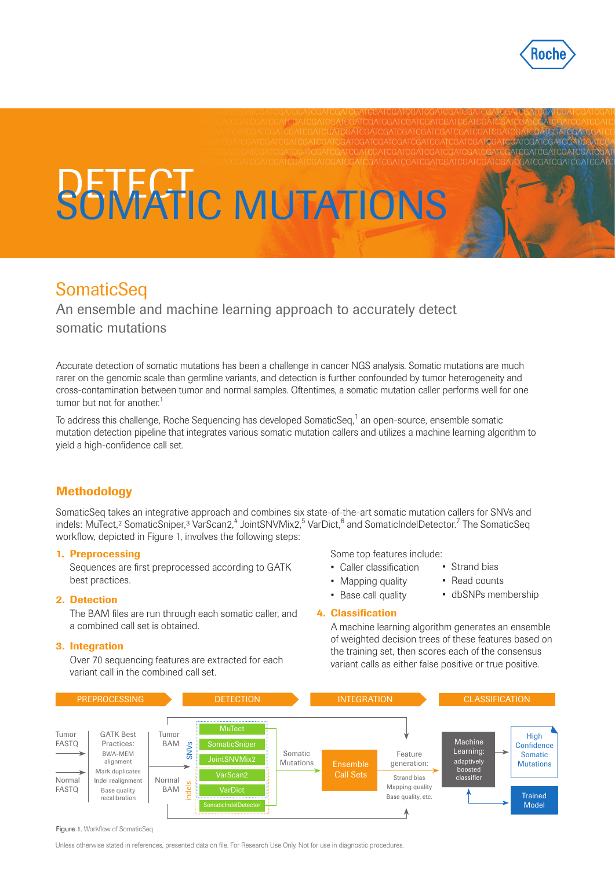

ATCGATCGATCGATCG

**SOMATIC MUTATIONS** 

# **SomaticSeq**

An ensemble and machine learning approach to accurately detect somatic mutations

Accurate detection of somatic mutations has been a challenge in cancer NGS analysis. Somatic mutations are much rarer on the genomic scale than germline variants, and detection is further confounded by tumor heterogeneity and cross-contamination between tumor and normal samples. Oftentimes, a somatic mutation caller performs well for one tumor but not for another.<sup>1</sup>

To address this challenge, Roche Sequencing has developed SomaticSeq,<sup>1</sup> an open-source, ensemble somatic mutation detection pipeline that integrates various somatic mutation callers and utilizes a machine learning algorithm to yield a high-confidence call set.

## **Methodology**

SomaticSeq takes an integrative approach and combines six state-of-the-art somatic mutation callers for SNVs and indels: MuTect,<sup>2</sup> SomaticSniper,<sup>3</sup> VarScan2,<sup>4</sup> JointSNVMix2,<sup>5</sup> VarDict,<sup>6</sup> and SomaticIndelDetector.<sup>7</sup> The SomaticSeq workflow, depicted in Figure 1, involves the following steps:

### 1. Preprocessing

Sequences are first preprocessed according to GATK best practices.

### 2. Detection

The BAM files are run through each somatic caller, and a combined call set is obtained.

### 3. Integration

Over 70 sequencing features are extracted for each variant call in the combined call set.

Some top features include:

- Caller classification
- Strand bias
- Mapping quality
- Read counts
- Base call quality
- dbSNPs membership

### 4. Classification

A machine learning algorithm generates an ensemble of weighted decision trees of these features based on the training set, then scores each of the consensus variant calls as either false positive or true positive.



Figure 1. Workflow of SomaticSeq

Unless otherwise stated in references, presented data on file. For Research Use Only. Not for use in diagnostic procedures.